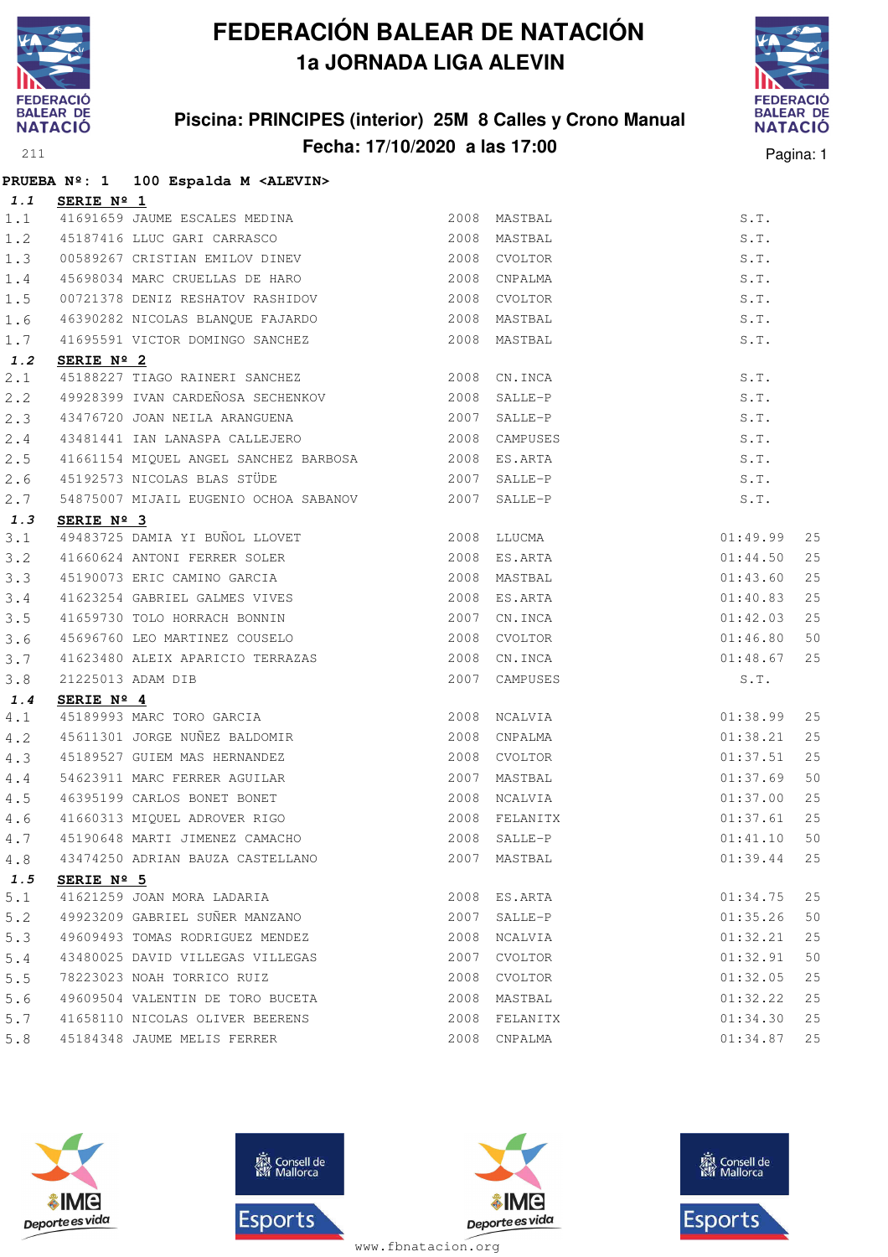

#### **Piscina: PRINCIPES (interior) 25M 8 Calles y Crono Manual Fecha: 17/10/2020 a las 17:00** Pagina: 1



|     |                     | PRUEBA Nº: 1 100 Espalda M <alevin></alevin>                |               |               |          |    |
|-----|---------------------|-------------------------------------------------------------|---------------|---------------|----------|----|
| 1.1 | SERIE Nº 1          |                                                             |               |               |          |    |
| 1.1 |                     | 41691659 JAUME ESCALES MEDINA                               |               | 2008 MASTBAL  | S.T.     |    |
| 1.2 |                     | 45187416 LLUC GARI CARRASCO                                 |               | 2008 MASTBAL  | S.T.     |    |
| 1.3 |                     | 00589267 CRISTIAN EMILOV DINEV                              |               | 2008 CVOLTOR  | S.T.     |    |
| 1.4 |                     | 45698034 MARC CRUELLAS DE HARO                              |               | 2008 CNPALMA  | S.T.     |    |
| 1.5 |                     | 00721378 DENIZ RESHATOV RASHIDOV                            |               | 2008 CVOLTOR  | S.T.     |    |
| 1.6 |                     |                                                             |               |               | S.T.     |    |
| 1.7 |                     | 41695591 VICTOR DOMINGO SANCHEZ                             |               | 2008 MASTBAL  | S.T.     |    |
| 1.2 | SERIE Nº 2          |                                                             |               |               |          |    |
| 2.1 |                     | 45188227 TIAGO RAINERI SANCHEZ 2008 CN.INCA                 |               |               | S.T.     |    |
| 2.2 |                     |                                                             |               |               | S.T.     |    |
| 2.3 |                     | 43476720 JOAN NEILA ARANGUENA 2007 SALLE-P                  |               |               | S.T.     |    |
| 2.4 |                     | 43481441 IAN LANASPA CALLEJERO 2008 CAMPUSES                |               |               | S.T.     |    |
| 2.5 |                     | 41661154 MIQUEL ANGEL SANCHEZ BARBOSA 2008 ES.ARTA          |               |               | S.T.     |    |
| 2.6 |                     | 45192573 NICOLAS BLAS STÜDE 2007 SALLE-P                    |               |               | S.T.     |    |
| 2.7 |                     | 54875007 MIJAIL EUGENIO OCHOA SABANOV 2007 SALLE-P          |               |               | S.T.     |    |
| 1.3 | SERIE Nº 3          |                                                             |               |               |          |    |
| 3.1 |                     | 49483725 DAMIA YI BUÑOL LLOVET 2008 LLUCMA                  |               |               | 01:49.99 | 25 |
| 3.2 |                     | 41660624 ANTONI FERRER SOLER<br>45190073 ERIC CAMINO GARCIA |               | 2008 ES.ARTA  | 01:44.50 | 25 |
| 3.3 |                     |                                                             |               | 2008 MASTBAL  | 01:43.60 | 25 |
| 3.4 |                     | 41623254 GABRIEL GALMES VIVES                               |               | 2008 ES.ARTA  | 01:40.83 | 25 |
| 3.5 |                     | 41659730 TOLO HORRACH BONNIN                                |               | 2007 CN.INCA  | 01:42.03 | 25 |
| 3.6 |                     | 45696760 LEO MARTINEZ COUSELO                               |               | 2008 CVOLTOR  | 01:46.80 | 50 |
| 3.7 |                     | 41623480 ALEIX APARICIO TERRAZAS                            |               | 2008 CN.INCA  | 01:48.67 | 25 |
| 3.8 |                     | 21225013 ADAM DIB                                           |               | 2007 CAMPUSES | S.T.     |    |
| 1.4 | SERIE Nº 4          |                                                             |               |               |          |    |
| 4.1 |                     | 45189993 MARC TORO GARCIA                                   |               | 2008 NCALVIA  | 01:38.99 | 25 |
| 4.2 |                     | 45611301 JORGE NUÑEZ BALDOMIR                               |               | 2008 CNPALMA  | 01:38.21 | 25 |
| 4.3 |                     | 45189527 GUIEM MAS HERNANDEZ                                |               | 2008 CVOLTOR  | 01:37.51 | 25 |
| 4.4 |                     | 54623911 MARC FERRER AGUILAR                                |               | 2007 MASTBAL  | 01:37.69 | 50 |
| 4.5 |                     | 46395199 CARLOS BONET BONET                                 |               | 2008 NCALVIA  | 01:37.00 | 25 |
| 4.6 |                     | 41660313 MIQUEL ADROVER RIGO                                | 2008 FELANITX |               | 01:37.61 | 25 |
| 4.7 |                     | 45190648 MARTI JIMENEZ CAMACHO                              |               | 2008 SALLE-P  | 01:41.10 | 50 |
| 4.8 |                     | 43474250 ADRIAN BAUZA CASTELLANO                            |               | 2007 MASTBAL  | 01:39.44 | 25 |
| 1.5 | SERIE $N^{\circ}$ 5 |                                                             |               |               |          |    |
| 5.1 |                     | 41621259 JOAN MORA LADARIA                                  |               | 2008 ES.ARTA  | 01:34.75 | 25 |
| 5.2 |                     | 49923209 GABRIEL SUÑER MANZANO                              |               | 2007 SALLE-P  | 01:35.26 | 50 |
| 5.3 |                     | 49609493 TOMAS RODRIGUEZ MENDEZ                             |               | 2008 NCALVIA  | 01:32.21 | 25 |
| 5.4 |                     | 43480025 DAVID VILLEGAS VILLEGAS                            | 2007          | CVOLTOR       | 01:32.91 | 50 |
| 5.5 |                     | 78223023 NOAH TORRICO RUIZ                                  |               | 2008 CVOLTOR  | 01:32.05 | 25 |
| 5.6 |                     | 49609504 VALENTIN DE TORO BUCETA                            |               | 2008 MASTBAL  | 01:32.22 | 25 |
| 5.7 |                     | 41658110 NICOLAS OLIVER BEERENS                             |               | 2008 FELANITX | 01:34.30 | 25 |
| 5.8 |                     | 45184348 JAUME MELIS FERRER                                 |               | 2008 CNPALMA  | 01:34.87 | 25 |
|     |                     |                                                             |               |               |          |    |







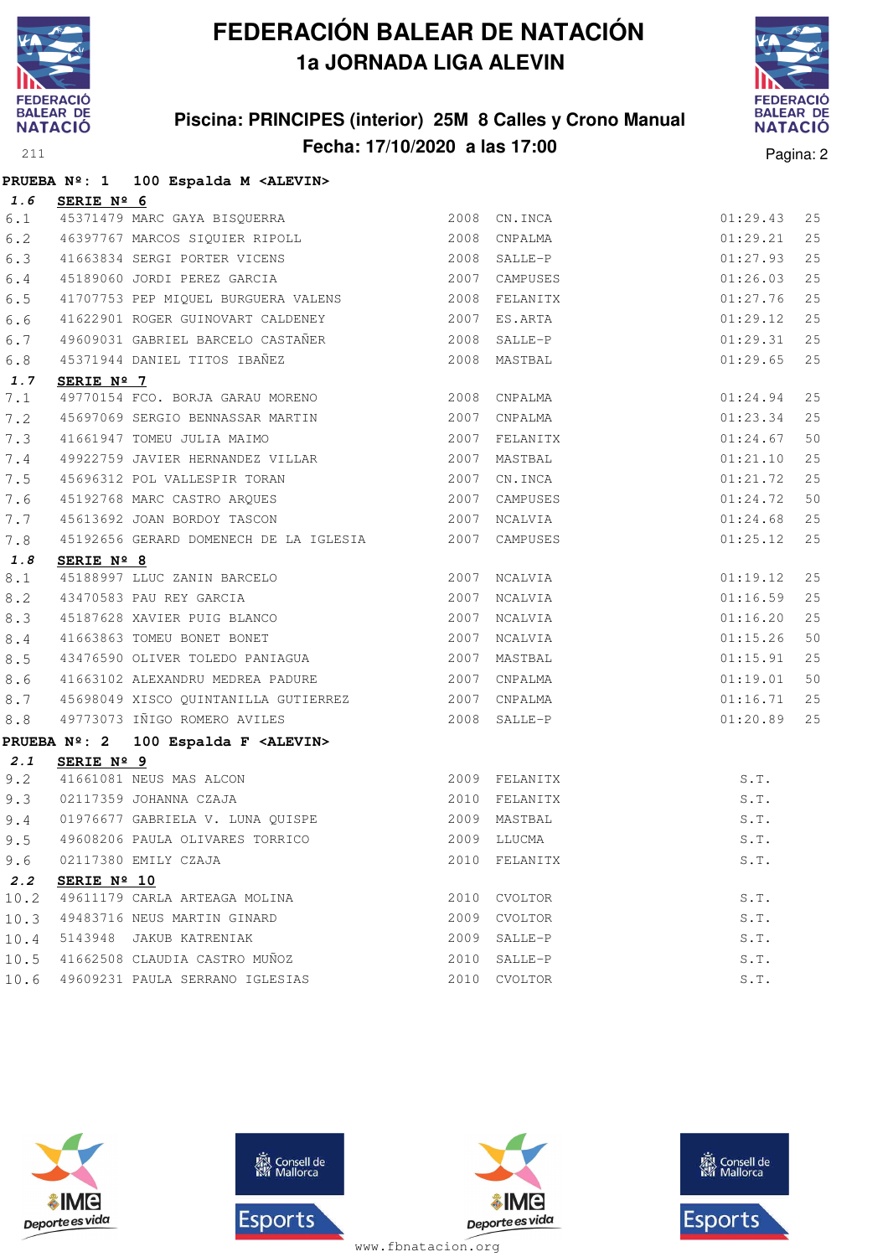

#### **Piscina: PRINCIPES (interior) 25M 8 Calles y Crono Manual Fecha: 17/10/2020 a las 17:00** Pagina: 2



|         |                         | PRUEBA Nº: 1 100 Espalda M <alevin></alevin>                                                                                      |               |               |    |
|---------|-------------------------|-----------------------------------------------------------------------------------------------------------------------------------|---------------|---------------|----|
|         | 1.6 SERIE $N^{\circ}$ 6 |                                                                                                                                   |               |               |    |
| 6.1     |                         | 45371479 MARC GAYA BISQUERRA                                                                                                      | 2008 CN.INCA  | 01:29.43      | 25 |
|         |                         | 6.2 46397767 MARCOS SIQUIER RIPOLL 2008 CNPALMA                                                                                   |               | 01:29.21      | 25 |
| 6.3     |                         | 41663834 SERGI PORTER VICENS 2008 SALLE-P                                                                                         |               | 01:27.93      | 25 |
| $6.4$   |                         | 45189060 JORDI PEREZ GARCIA                                                                                                       | 2007 CAMPUSES | 01:26.03      | 25 |
| 6.5     |                         | 41707753 PEP MIQUEL BURGUERA VALENS 2008 FELANITX                                                                                 |               | 01:27.76      | 25 |
| 6.6     |                         |                                                                                                                                   |               | 01:29.12      | 25 |
| 6.7     |                         | 49609031 GABRIEL BARCELO CASTAÑER 2008 SALLE-P                                                                                    |               | 01:29.31      | 25 |
| 6.8     |                         | 45371944 DANIEL TITOS IBAÑEZ                                                                                                      | 2008 MASTBAL  | 01:29.65      | 25 |
| 1.7     | SERIE Nº 7              |                                                                                                                                   |               |               |    |
| 7.1     |                         | 49770154 FCO. BORJA GARAU MORENO 2008 CNPALMA                                                                                     |               | 01:24.94      | 25 |
| 7.2     |                         | 45697069 SERGIO BENNASSAR MARTIN 2007 CNPALMA                                                                                     |               | 01:23.34      | 25 |
| 7.3     |                         |                                                                                                                                   |               | 01:24.67      | 50 |
| 7.4     |                         |                                                                                                                                   |               | 01:21.10      | 25 |
| 7.5     |                         | 45696312 POL VALLESPIR TORAN 2007 CN.INCA                                                                                         |               | 01:21.72      | 25 |
| 7.6     |                         | 45192768 MARC CASTRO ARQUES 2007 CAMPUSES                                                                                         |               | 01:24.72      | 50 |
| 7.7     |                         | 45613692 JOAN BORDOY TASCON 2007 NCALVIA                                                                                          |               | 01:24.68      | 25 |
| 7.8     |                         | 45192656 GERARD DOMENECH DE LA IGLESIA 2007 CAMPUSES                                                                              |               | 01:25.12      | 25 |
| 1.8     | SERIE Nº 8              |                                                                                                                                   |               |               |    |
| $8.1$   |                         | 45188997 LLUC ZANIN BARCELO 2007 NCALVIA                                                                                          |               | 01:19.12      | 25 |
| 8.2     |                         | 43470583 PAU REY GARCIA (2007) NCALVIA<br>45187628 XAVIER PUIG BLANCO (2007) NCALVIA<br>41663863 TOMEU BONET BONET (2007) NCALVIA |               | 01:16.59      | 25 |
| 8.3     |                         |                                                                                                                                   |               | 01:16.20      | 25 |
| 8.4     |                         |                                                                                                                                   |               | 01:15.26      | 50 |
| 8.5     |                         |                                                                                                                                   |               | 01:15.91      | 25 |
| 8.6     |                         | 41663102 ALEXANDRU MEDREA PADURE 2007 CNPALMA                                                                                     |               | 01:19.01      | 50 |
| $8.7\,$ |                         | 45698049 XISCO QUINTANILLA GUTIERREZ 2007 CNPALMA<br>49773073 IÑIGO ROMERO AVILES 2008 SALLE-P                                    |               | 01:16.71      | 25 |
| $8.8$   |                         |                                                                                                                                   |               | $01:20.89$ 25 |    |
|         |                         | PRUEBA Nº: 2 100 Espalda F <alevin></alevin>                                                                                      |               |               |    |
| 2.1     | SERIE Nº 9              |                                                                                                                                   |               |               |    |
| 9.2     |                         |                                                                                                                                   |               | S.T.          |    |
| 9.3     |                         |                                                                                                                                   |               | S.T.          |    |
| 9.4     |                         | 01976677 GABRIELA V. LUNA QUISPE (2009 MASTBAL                                                                                    |               | S.T.          |    |
|         |                         | 9.5 49608206 PAULA OLIVARES TORRICO 2009 LLUCMA 2009 ALLUCMA                                                                      |               |               |    |
| 9.6     |                         | 02117380 EMILY CZAJA                                                                                                              | 2010 FELANITX | S.T.          |    |
| 2.2     | SERIE Nº 10             |                                                                                                                                   |               |               |    |
| 10.2    |                         | 49611179 CARLA ARTEAGA MOLINA                                                                                                     | 2010 CVOLTOR  | S.T.          |    |
| 10.3    |                         | 49483716 NEUS MARTIN GINARD                                                                                                       | 2009 CVOLTOR  | S.T.          |    |
| 10.4    |                         | 5143948 JAKUB KATRENIAK                                                                                                           | 2009 SALLE-P  | S.T.          |    |
| 10.5    |                         | 41662508 CLAUDIA CASTRO MUÑOZ                                                                                                     | 2010 SALLE-P  | S.T.          |    |
| 10.6    |                         | 49609231 PAULA SERRANO IGLESIAS                                                                                                   | 2010 CVOLTOR  | S.T.          |    |







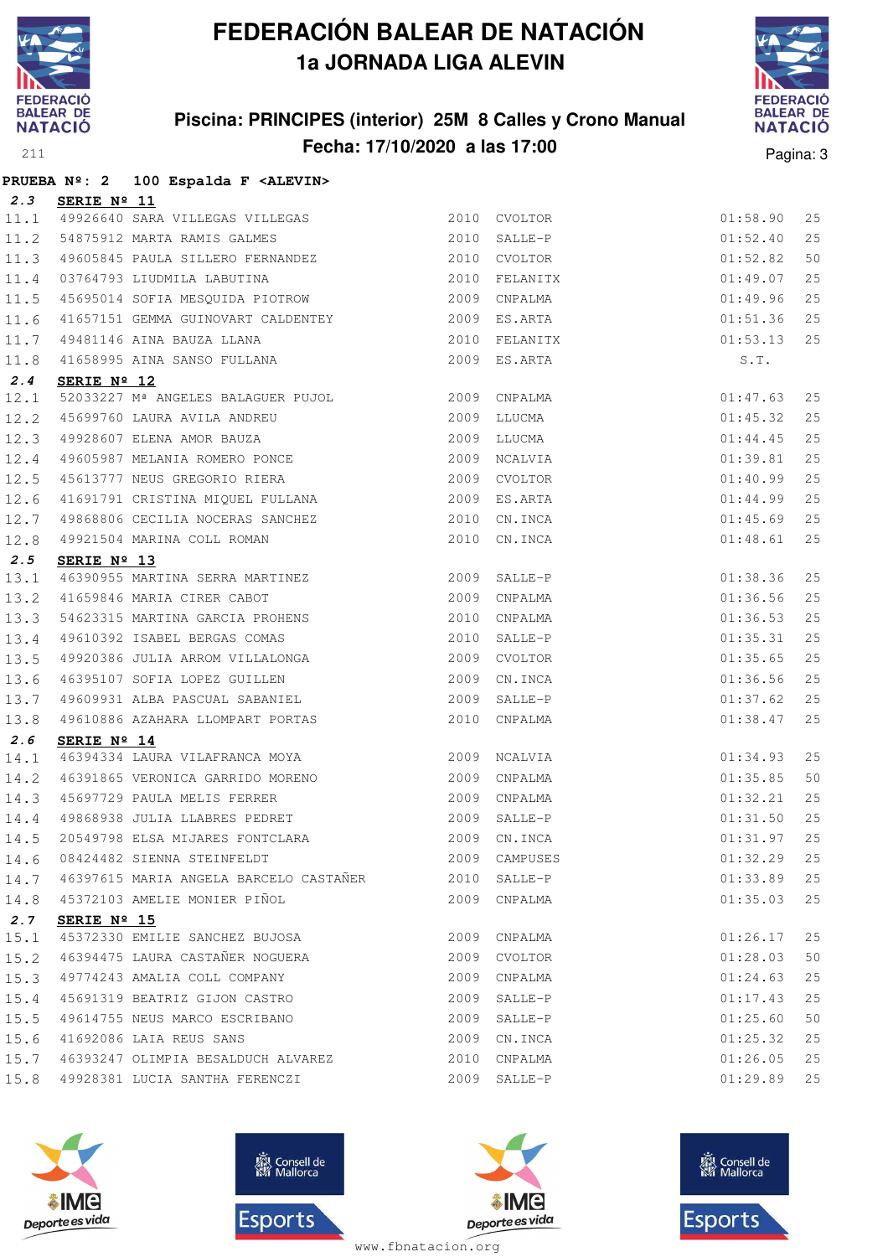

#### **Piscina: PRINCIPES (interior) 25M 8 Calles y Crono Manual Fecha: 17/10/2020 a las 17:00** Pagina: 3



|      |                 | PRUEBA Nº: 2 100 Espalda F <alevin></alevin>                                                                                                                                                                                                        |      |               |                                                          |    |
|------|-----------------|-----------------------------------------------------------------------------------------------------------------------------------------------------------------------------------------------------------------------------------------------------|------|---------------|----------------------------------------------------------|----|
|      | 2.3 SERIE Nº 11 |                                                                                                                                                                                                                                                     |      |               |                                                          |    |
|      |                 | 11.1 49926640 SARA VILLEGAS VILLEGAS 2010 CVOLTOR                                                                                                                                                                                                   |      |               | 01:58.90                                                 | 25 |
|      |                 | 11.2 54875912 MARTA RAMIS GALMES 2010 SALLE-P                                                                                                                                                                                                       |      |               | 01:52.40                                                 | 25 |
|      |                 | 11.3 49605845 PAULA SILLERO FERNANDEZ 2010 CVOLTOR                                                                                                                                                                                                  |      |               | 01:52.82                                                 | 50 |
|      |                 |                                                                                                                                                                                                                                                     |      |               | 01:49.07                                                 | 25 |
|      |                 | 11.4 03764793 LIUDMILA LABUTINA (2010 FELANITX)<br>11.5 45695014 SOFIA MESQUIDA PIOTROW (2009 CNPALMA                                                                                                                                               |      |               | 01:49.96                                                 | 25 |
|      |                 | 11.6 41657151 GEMMA GUINOVART CALDENTEY 6009 ES.ARTA                                                                                                                                                                                                |      |               | 01:51.36                                                 | 25 |
|      |                 |                                                                                                                                                                                                                                                     |      |               | $01:53.13$ 25                                            |    |
|      |                 | 11.7 49481146 AINA BAUZA LLANA (2010 FELANITX)<br>11.8 41658995 AINA SANSO FULLANA (2009 ES.ARTA)                                                                                                                                                   |      |               | S.T.                                                     |    |
| 2.4  | SERIE Nº 12     |                                                                                                                                                                                                                                                     |      |               |                                                          |    |
| 12.1 |                 | 52033227 M <sup>ª</sup> ANGELES BALAGUER PUJOL 2009 CNPALMA                                                                                                                                                                                         |      |               |                                                          | 25 |
|      |                 | 12.2 45699760 LAURA AVILA ANDREU 2009 LLUCMA<br>12.3 49928607 ELENA AMOR BAUZA 2009 LLUCMA<br>12.4 49605987 MELANIA ROMERO PONCE 2009 NCALVIA<br>12.5 45613777 NEUS GREGORIO RIERA 2009 CVOLTOR                                                     |      |               | 01:47.63<br>01:45.32<br>01:44.45<br>01:39.81<br>01:40.99 | 25 |
|      |                 |                                                                                                                                                                                                                                                     |      |               |                                                          | 25 |
|      |                 |                                                                                                                                                                                                                                                     |      |               |                                                          | 25 |
|      |                 |                                                                                                                                                                                                                                                     |      |               |                                                          | 25 |
|      |                 | 12.6 41691791 CRISTINA MIQUEL FULLANA 2009 ES.ARTA                                                                                                                                                                                                  |      |               | 01:44.99                                                 | 25 |
|      |                 |                                                                                                                                                                                                                                                     |      |               | 01:45.69                                                 | 25 |
|      |                 | 12.7 49868806 CECILIA NOCERAS SANCHEZ 2010 CN.INCA<br>12.8 49921504 MARINA COLL ROMAN 2010 CN.INCA                                                                                                                                                  |      |               | 01:48.61                                                 | 25 |
| 2.5  | SERIE Nº 13     |                                                                                                                                                                                                                                                     |      |               |                                                          |    |
|      |                 |                                                                                                                                                                                                                                                     |      |               | 01:38.36                                                 | 25 |
|      |                 |                                                                                                                                                                                                                                                     |      |               | 01:36.56                                                 | 25 |
|      |                 |                                                                                                                                                                                                                                                     |      |               | 01:36.53                                                 | 25 |
|      |                 |                                                                                                                                                                                                                                                     |      |               | 01:35.31                                                 | 25 |
|      |                 | 2.3 <b>SERIE Nº 13</b><br>13.1 46390955 MARTINA SERRA MARTINEZ<br>13.2 41659846 MARIA CIRER CABOT<br>2009 CNPALMA<br>13.3 54623315 MARTINA GARCIA PROHENS<br>13.4 49610392 ISABEL BERGAS COMAS<br>2010 CNPALMA<br>2010 SALLE-P<br>13.5 49920386 JUL |      |               | 01:35.65                                                 | 25 |
| 13.6 |                 | 46395107 SOFIA LOPEZ GUILLEN 2009                                                                                                                                                                                                                   |      | CN.INCA       | 01:36.56                                                 | 25 |
|      |                 | 13.7 49609931 ALBA PASCUAL SABANIEL 2009 SALLE-P                                                                                                                                                                                                    |      |               | 01:37.62                                                 | 25 |
|      |                 | 13.8 49610886 AZAHARA LLOMPART PORTAS 2010 CNPALMA                                                                                                                                                                                                  |      |               | 01:38.47                                                 | 25 |
| 2.6  | SERIE Nº 14     |                                                                                                                                                                                                                                                     |      |               |                                                          |    |
| 14.1 |                 | 46394334 LAURA VILAFRANCA MOYA 2009 NCALVIA                                                                                                                                                                                                         |      |               | 01:34.93                                                 | 25 |
|      |                 |                                                                                                                                                                                                                                                     |      |               | 01:35.85                                                 | 50 |
|      |                 |                                                                                                                                                                                                                                                     |      |               | 01:32.21                                                 | 25 |
|      |                 | 14.3 15697729 PAULA MELIS FERRER 2009 CNPALMA<br>14.4 19868938 JULIA LLABRES PEDRET 2009 SALLE-P<br>14.5 20549798 ELSA MIJARES FONTCLARA 2009 CN.INCA                                                                                               |      |               | 01:31.50                                                 | 25 |
|      |                 |                                                                                                                                                                                                                                                     |      |               | 01:31.97                                                 | 25 |
|      |                 | 14.6 08424482 SIENNA STEINFELDT                                                                                                                                                                                                                     | 2009 | CAMPUSES      | 01:32.29                                                 | 25 |
|      |                 | 14.7 46397615 MARIA ANGELA BARCELO CASTAÑER                                                                                                                                                                                                         |      | 2010 SALLE-P  | 01:33.89                                                 | 25 |
|      |                 | 14.8 45372103 AMELIE MONIER PIÑOL                                                                                                                                                                                                                   |      | 2009 CNPALMA  | 01:35.03                                                 | 25 |
| 2.7  | SERIE Nº 15     |                                                                                                                                                                                                                                                     |      |               |                                                          |    |
| 15.1 |                 | 45372330 EMILIE SANCHEZ BUJOSA                                                                                                                                                                                                                      | 2009 | CNPALMA       | 01:26.17                                                 | 25 |
| 15.2 |                 | 46394475 LAURA CASTAÑER NOGUERA                                                                                                                                                                                                                     | 2009 | CVOLTOR       | 01:28.03                                                 | 50 |
| 15.3 |                 | 49774243 AMALIA COLL COMPANY                                                                                                                                                                                                                        | 2009 | CNPALMA       | 01:24.63                                                 | 25 |
| 15.4 |                 | 45691319 BEATRIZ GIJON CASTRO                                                                                                                                                                                                                       | 2009 | SALLE-P       | 01:17.43                                                 | 25 |
| 15.5 |                 | 49614755 NEUS MARCO ESCRIBANO                                                                                                                                                                                                                       |      | 2009 SALLE-P  | 01:25.60                                                 | 50 |
|      |                 | 15.6 41692086 LAIA REUS SANS                                                                                                                                                                                                                        |      | 2009 CN. INCA | 01:25.32                                                 | 25 |
|      |                 | 15.7 46393247 OLIMPIA BESALDUCH ALVAREZ                                                                                                                                                                                                             |      | 2010 CNPALMA  | 01:26.05                                                 | 25 |
| 15.8 |                 | 49928381 LUCIA SANTHA FERENCZI                                                                                                                                                                                                                      |      | 2009 SALLE-P  | 01:29.89                                                 | 25 |







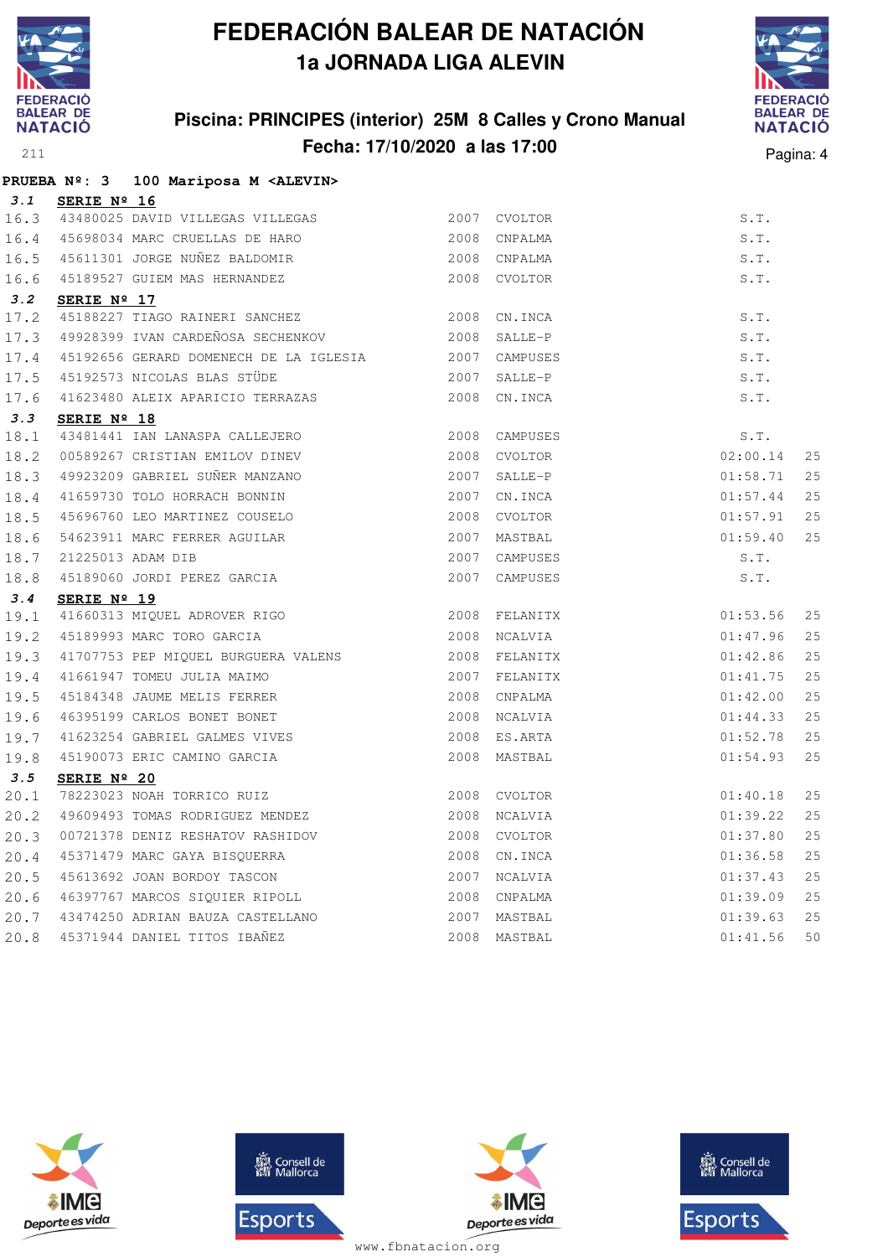

#### **Piscina: PRINCIPES (interior) 25M 8 Calles y Crono Manual Fecha: 17/10/2020 a las 17:00** Pagina: 4



|      |             | PRUEBA Nº: 3 100 Mariposa M <alevin></alevin>                     |      |               |          |    |
|------|-------------|-------------------------------------------------------------------|------|---------------|----------|----|
| 3.1  | SERIE Nº 16 |                                                                   |      |               |          |    |
|      |             | 16.3 43480025 DAVID VILLEGAS VILLEGAS                             |      | 2007 CVOLTOR  | S.T.     |    |
|      |             | 16.4 45698034 MARC CRUELLAS DE HARO 2008 CNPALMA                  |      |               | S.T.     |    |
| 16.5 |             | 45611301 JORGE NUÑEZ BALDOMIR 2008 CNPALMA                        |      |               | S.T.     |    |
| 16.6 |             | 45189527 GUIEM MAS HERNANDEZ                                      |      | 2008 CVOLTOR  | S.T.     |    |
| 3.2  | SERIE Nº 17 |                                                                   |      |               |          |    |
| 17.2 |             | 45188227 TIAGO RAINERI SANCHEZ                                    |      | 2008 CN. INCA | S.T.     |    |
| 17.3 |             | 49928399 IVAN CARDEÑOSA SECHENKOV                                 |      | 2008 SALLE-P  | S.T.     |    |
| 17.4 |             | 45192656 GERARD DOMENECH DE LA IGLESIA                            |      | 2007 CAMPUSES | S.T.     |    |
| 17.5 |             | 45192573 NICOLAS BLAS STÜDE                                       |      | 2007 SALLE-P  | S.T.     |    |
| 17.6 |             | 41623480 ALEIX APARICIO TERRAZAS                                  |      | 2008 CN.INCA  | S.T.     |    |
| 3.3  | SERIE Nº 18 |                                                                   |      |               |          |    |
| 18.1 |             | 43481441 IAN LANASPA CALLEJERO                                    |      | 2008 CAMPUSES | S.T.     |    |
| 18.2 |             | 00589267 CRISTIAN EMILOV DINEV                                    |      | 2008 CVOLTOR  | 02:00.14 | 25 |
| 18.3 |             | 49923209 GABRIEL SUÑER MANZANO                                    | 2007 | SALLE-P       | 01:58.71 | 25 |
| 18.4 |             | 41659730 TOLO HORRACH BONNIN                                      |      | 2007 CN. INCA | 01:57.44 | 25 |
| 18.5 |             | 45696760 LEO MARTINEZ COUSELO                                     |      | 2008 CVOLTOR  | 01:57.91 | 25 |
| 18.6 |             | 54623911 MARC FERRER AGUILAR                                      |      | 2007 MASTBAL  | 01:59.40 | 25 |
| 18.7 |             |                                                                   |      | 2007 CAMPUSES | S.T.     |    |
| 18.8 |             | 21225013 ADAM DIB<br>45189060 JORDI PEREZ GARCIA                  |      | 2007 CAMPUSES | S.T.     |    |
| 3.4  | SERIE Nº 19 |                                                                   |      |               |          |    |
| 19.1 |             |                                                                   |      | 2008 FELANITX | 01:53.56 | 25 |
| 19.2 |             | 41660313 MIQUEL ADROVER RIGO<br>45189993 MARC TORO GARCIA         |      | 2008 NCALVIA  | 01:47.96 | 25 |
| 19.3 |             | 41707753 PEP MIQUEL BURGUERA VALENS<br>41661947 TOMEU JULIA MAIMO |      | 2008 FELANITX | 01:42.86 | 25 |
| 19.4 |             |                                                                   |      | 2007 FELANITX | 01:41.75 | 25 |
| 19.5 |             | 45184348 JAUME MELIS FERRER                                       |      | 2008 CNPALMA  | 01:42.00 | 25 |
| 19.6 |             | 46395199 CARLOS BONET BONET                                       |      | 2008 NCALVIA  | 01:44.33 | 25 |
| 19.7 |             | 41623254 GABRIEL GALMES VIVES                                     |      | 2008 ES.ARTA  | 01:52.78 | 25 |
| 19.8 |             | 45190073 ERIC CAMINO GARCIA                                       |      | 2008 MASTBAL  | 01:54.93 | 25 |
| 3.5  | SERIE Nº 20 |                                                                   |      |               |          |    |
| 20.1 |             | 78223023 NOAH TORRICO RUIZ                                        |      | 2008 CVOLTOR  | 01:40.18 | 25 |
| 20.2 |             | 49609493 TOMAS RODRIGUEZ MENDEZ 6000 2008 NCALVIA                 |      |               | 01:39.22 | 25 |
| 20.3 |             |                                                                   |      |               | 01:37.80 | 25 |
| 20.4 |             | 45371479 MARC GAYA BISQUERRA                                      |      | 2008 CN.INCA  | 01:36.58 | 25 |
| 20.5 |             | 45613692 JOAN BORDOY TASCON                                       |      | 2007 NCALVIA  | 01:37.43 | 25 |
| 20.6 |             | 46397767 MARCOS SIQUIER RIPOLL                                    |      | 2008 CNPALMA  | 01:39.09 | 25 |
| 20.7 |             | 43474250 ADRIAN BAUZA CASTELLANO<br>45371944 DANIEL TITOS IBAÑEZ  |      | 2007 MASTBAL  | 01:39.63 | 25 |
| 20.8 |             |                                                                   |      | 2008 MASTBAL  | 01:41.56 | 50 |







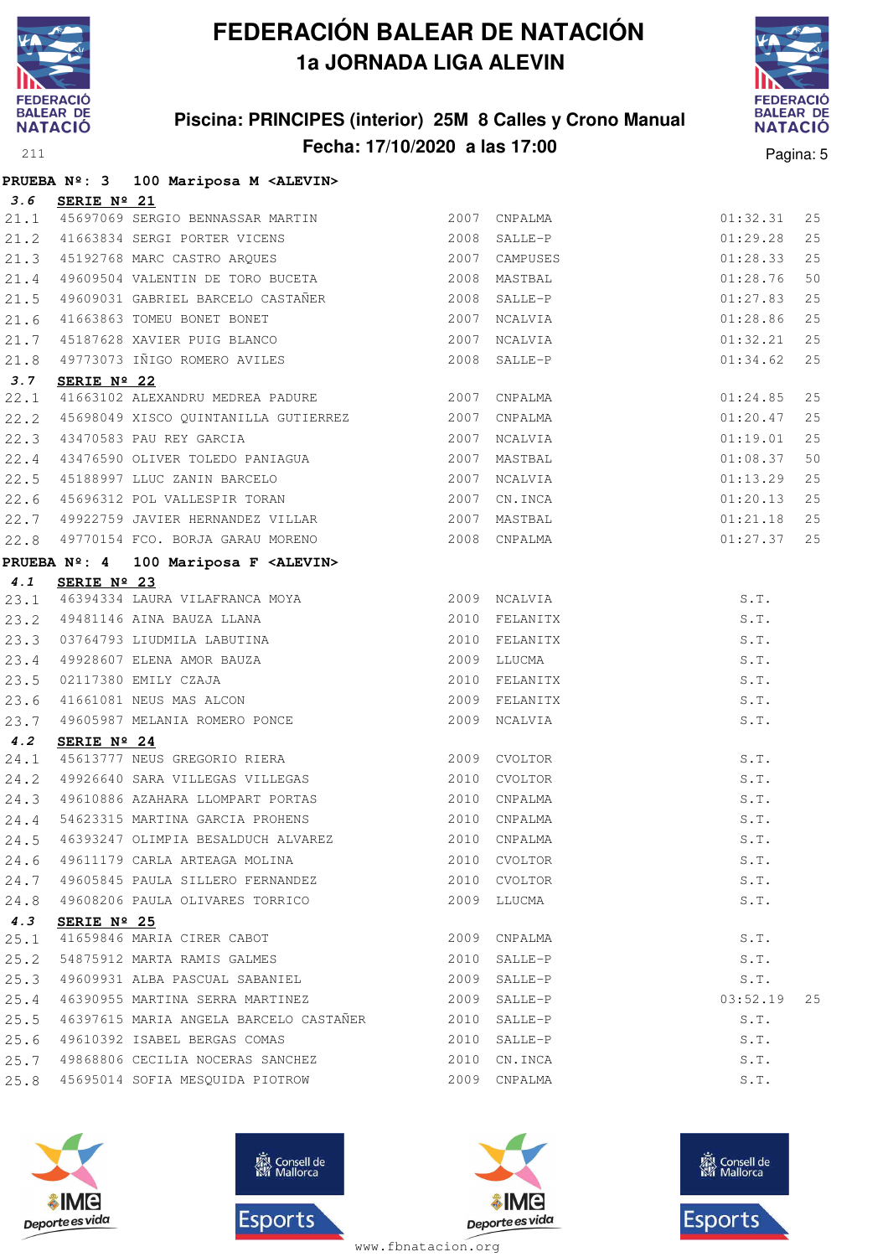

#### **Piscina: PRINCIPES (interior) 25M 8 Calles y Crono Manual Fecha: 17/10/2020 a las 17:00** Pagina: 5



|      |                 | PRUEBA Nº: 3 100 Mariposa M <alevin></alevin>                                                                                                                                                                                                     |      |              |                                        |    |
|------|-----------------|---------------------------------------------------------------------------------------------------------------------------------------------------------------------------------------------------------------------------------------------------|------|--------------|----------------------------------------|----|
|      | 3.6 SERIE Nº 21 |                                                                                                                                                                                                                                                   |      |              |                                        |    |
|      |                 | 21.1 45697069 SERGIO BENNASSAR MARTIN 2007 CNPALMA 01:32.31<br>21.2 41663834 SERGI PORTER VICENS 2008 SALLE-P 01:29.28<br>21.3 45192768 MARC CASTRO ARQUES 2007 CAMPUSES 01:28.33                                                                 |      |              |                                        | 25 |
|      |                 |                                                                                                                                                                                                                                                   |      |              |                                        | 25 |
|      |                 |                                                                                                                                                                                                                                                   |      |              |                                        | 25 |
|      |                 | 21.4 49609504 VALENTIN DE TORO BUCETA 2008 MASTBAL                                                                                                                                                                                                |      |              | 01:28.76                               | 50 |
|      |                 | 21.5 49609031 GABRIEL BARCELO CASTAÑER 2008 SALLE-P                                                                                                                                                                                               |      |              | 01:27.83                               | 25 |
|      |                 | 21.6 41663863 TOMEU BONET BONET (2007 NCALVIA 21.7 45187628 XAVIER PUIG BLANCO                                                                                                                                                                    |      |              | 01:28.86                               | 25 |
|      |                 |                                                                                                                                                                                                                                                   |      |              | $01:32.21$ 25                          |    |
|      |                 | 21.8 49773073 IÑIGO ROMERO AVILES                                                                                                                                                                                                                 |      | 2008 SALLE-P | 01:34.62                               | 25 |
| 3.7  | SERIE Nº 22     |                                                                                                                                                                                                                                                   |      |              |                                        |    |
| 22.1 |                 | 41663102 ALEXANDRU MEDREA PADURE 2007 CNPALMA                                                                                                                                                                                                     |      |              |                                        | 25 |
| 22.2 |                 | 45698049 XISCO QUINTANILLA GUTIERREZ 2007 CNPALMA                                                                                                                                                                                                 |      |              | $01:24.85$<br>$01:20.47$<br>$01:19.01$ | 25 |
|      |                 | 22.3 43470583 PAU REY GARCIA (2007 NORTHER 22.4 43476590 OLIVER TOLEDO PANIAGUA (2007 MASTBAL                                                                                                                                                     |      |              |                                        | 25 |
|      |                 |                                                                                                                                                                                                                                                   |      |              | 01:08.37                               | 50 |
|      |                 | 22.5 45188997 LLUC ZANIN BARCELO 2007 NCALVIA<br>22.6 45696312 POL VALLESPIR TORAN 2007 CN.INCA                                                                                                                                                   |      |              | 01:13.29                               | 25 |
|      |                 |                                                                                                                                                                                                                                                   |      |              | 01:20.13                               | 25 |
|      |                 | 22.7 49922759 JAVIER HERNANDEZ VILLAR 2007 MASTBAL                                                                                                                                                                                                |      |              | $01:21.18$ 25                          |    |
|      |                 | 22.8 49770154 FCO. BORJA GARAU MORENO 2008 CNPALMA                                                                                                                                                                                                |      |              | 01:27.37 25                            |    |
|      |                 | PRUEBA Nº: 4 100 Mariposa F <alevin></alevin>                                                                                                                                                                                                     |      |              |                                        |    |
| 4.1  | SERIE Nº 23     |                                                                                                                                                                                                                                                   |      |              |                                        |    |
|      |                 |                                                                                                                                                                                                                                                   |      |              | S.T.                                   |    |
|      |                 |                                                                                                                                                                                                                                                   |      |              | S.T.                                   |    |
|      |                 | <b>4.1</b> SERIE Nº 23<br>23.1 46394334 LAURA VILAFRANCA MOYA<br>23.2 49481146 AINA BAUZA LLANA<br>23.3 03764793 LIUDMILA LABUTINA<br>23.4 49928607 ELENA AMOR BAUZA<br>23.5 02117380 EMILY CZAJA<br>23.5 02117380 EMILY CZAJA<br>23.6 41661081 N |      |              | S.T.                                   |    |
|      |                 |                                                                                                                                                                                                                                                   |      |              | S.T.                                   |    |
|      |                 |                                                                                                                                                                                                                                                   |      |              | S.T.                                   |    |
|      |                 |                                                                                                                                                                                                                                                   |      |              | S.T.                                   |    |
|      |                 |                                                                                                                                                                                                                                                   |      |              | S.T.                                   |    |
| 4.2  | SERIE Nº 24     |                                                                                                                                                                                                                                                   |      |              |                                        |    |
|      |                 | 2.2 <b>SERIE Nº 24</b><br>24.1 45613777 NEUS GREGORIO RIERA 2009 CVOLTOR                                                                                                                                                                          |      |              | S.T.                                   |    |
|      |                 | 24.2 49926640 SARA VILLEGAS VILLEGAS 2010 CVOLTOR                                                                                                                                                                                                 |      |              | S.T.                                   |    |
|      |                 | 24.3 49610886 AZAHARA LLOMPART PORTAS                                                                                                                                                                                                             |      | 2010 CNPALMA | S.T.                                   |    |
|      |                 | 24.4 54623315 MARTINA GARCIA PROHENS 2010 CNPALMA<br>24.5 46393247 OLIMPIA BESALDUCH ALVAREZ 2010 CNPALMA                                                                                                                                         |      |              | S.T.                                   |    |
|      |                 |                                                                                                                                                                                                                                                   |      |              | S.T.                                   |    |
| 24.6 |                 | 49611179 CARLA ARTEAGA MOLINA                                                                                                                                                                                                                     |      | 2010 CVOLTOR | S.T.                                   |    |
| 24.7 |                 | 49605845 PAULA SILLERO FERNANDEZ                                                                                                                                                                                                                  |      | 2010 CVOLTOR | S.T.                                   |    |
| 24.8 |                 | 49608206 PAULA OLIVARES TORRICO                                                                                                                                                                                                                   |      | 2009 LLUCMA  | S.T.                                   |    |
| 4.3  | SERIE Nº 25     |                                                                                                                                                                                                                                                   |      |              |                                        |    |
| 25.1 |                 | 41659846 MARIA CIRER CABOT                                                                                                                                                                                                                        | 2009 | CNPALMA      | S.T.                                   |    |
| 25.2 |                 | 54875912 MARTA RAMIS GALMES                                                                                                                                                                                                                       | 2010 | SALLE-P      | S.T.                                   |    |
| 25.3 |                 | 49609931 ALBA PASCUAL SABANIEL                                                                                                                                                                                                                    |      | 2009 SALLE-P | S.T.                                   |    |
| 25.4 |                 | 46390955 MARTINA SERRA MARTINEZ                                                                                                                                                                                                                   |      | 2009 SALLE-P | 03:52.19                               | 25 |
| 25.5 |                 | 46397615 MARIA ANGELA BARCELO CASTAÑER                                                                                                                                                                                                            | 2010 | SALLE-P      | S.T.                                   |    |
| 25.6 |                 | 49610392 ISABEL BERGAS COMAS                                                                                                                                                                                                                      |      | 2010 SALLE-P | S.T.                                   |    |
| 25.7 |                 | 49868806 CECILIA NOCERAS SANCHEZ                                                                                                                                                                                                                  |      | 2010 CN.INCA | S.T.                                   |    |
| 25.8 |                 | 45695014 SOFIA MESQUIDA PIOTROW                                                                                                                                                                                                                   |      | 2009 CNPALMA | S.T.                                   |    |